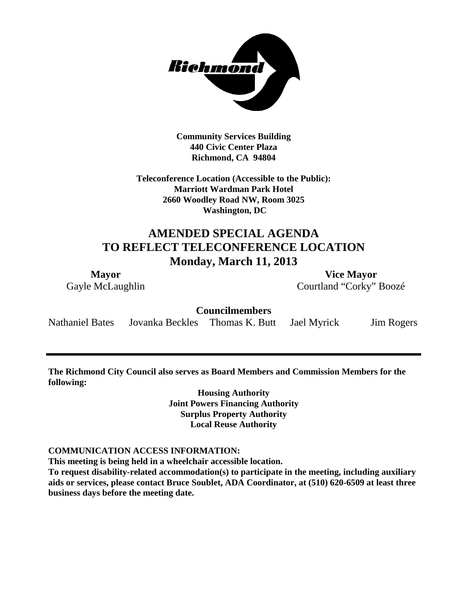

**Community Services Building 440 Civic Center Plaza Richmond, CA 94804**

**Teleconference Location (Accessible to the Public): Marriott Wardman Park Hotel 2660 Woodley Road NW, Room 3025 Washington, DC**

# **AMENDED SPECIAL AGENDA TO REFLECT TELECONFERENCE LOCATION Monday, March 11, 2013**

**Mayor Vice Mayor** Gayle McLaughlin Courtland "Corky" Boozé

**Councilmembers**

Nathaniel Bates Jovanka Beckles Thomas K. Butt Jael Myrick Jim Rogers

**The Richmond City Council also serves as Board Members and Commission Members for the following:**

> **Housing Authority Joint Powers Financing Authority Surplus Property Authority Local Reuse Authority**

**COMMUNICATION ACCESS INFORMATION:**

**This meeting is being held in a wheelchair accessible location.**

**To request disability-related accommodation(s) to participate in the meeting, including auxiliary aids or services, please contact Bruce Soublet, ADA Coordinator, at (510) 620-6509 at least three business days before the meeting date.**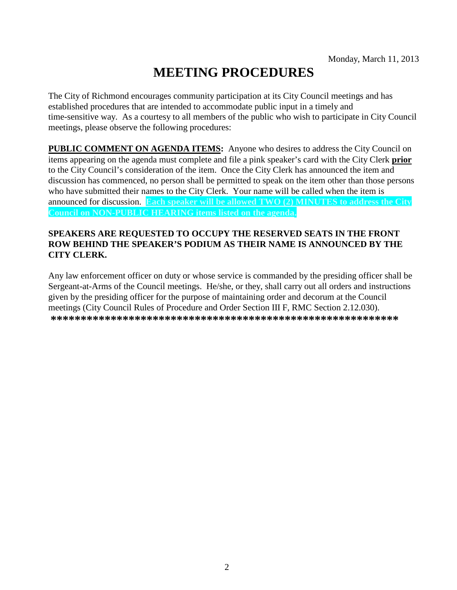# **MEETING PROCEDURES**

The City of Richmond encourages community participation at its City Council meetings and has established procedures that are intended to accommodate public input in a timely and time-sensitive way. As a courtesy to all members of the public who wish to participate in City Council meetings, please observe the following procedures:

**PUBLIC COMMENT ON AGENDA ITEMS:** Anyone who desires to address the City Council on items appearing on the agenda must complete and file a pink speaker's card with the City Clerk **prior** to the City Council's consideration of the item. Once the City Clerk has announced the item and discussion has commenced, no person shall be permitted to speak on the item other than those persons who have submitted their names to the City Clerk. Your name will be called when the item is announced for discussion. **Each speaker will be allowed TWO (2) MINUTES to address the City Council on NON-PUBLIC HEARING items listed on the agenda.**

## **SPEAKERS ARE REQUESTED TO OCCUPY THE RESERVED SEATS IN THE FRONT ROW BEHIND THE SPEAKER'S PODIUM AS THEIR NAME IS ANNOUNCED BY THE CITY CLERK.**

Any law enforcement officer on duty or whose service is commanded by the presiding officer shall be Sergeant-at-Arms of the Council meetings. He/she, or they, shall carry out all orders and instructions given by the presiding officer for the purpose of maintaining order and decorum at the Council meetings (City Council Rules of Procedure and Order Section III F, RMC Section 2.12.030). **\*\*\*\*\*\*\*\*\*\*\*\*\*\*\*\*\*\*\*\*\*\*\*\*\*\*\*\*\*\*\*\*\*\*\*\*\*\*\*\*\*\*\*\*\*\*\*\*\*\*\*\*\*\*\*\*\*\***